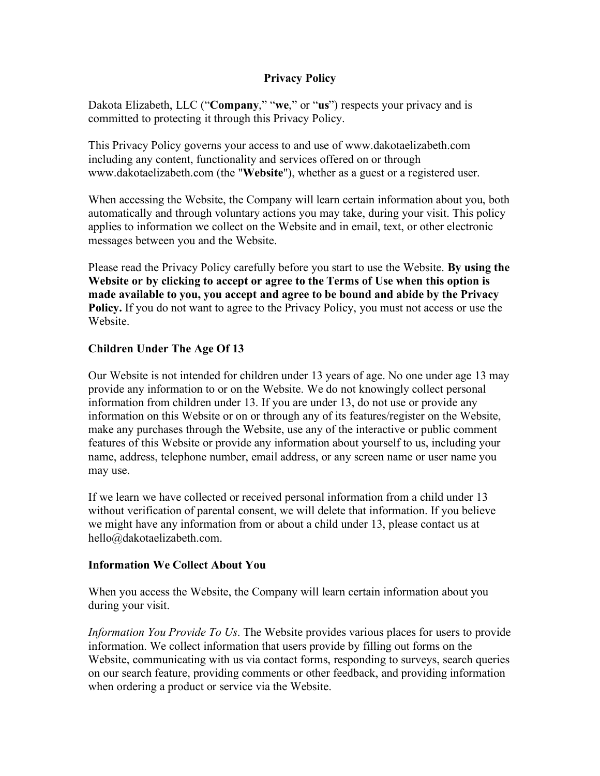#### **Privacy Policy**

Dakota Elizabeth, LLC ("**Company**," "**we**," or "**us**") respects your privacy and is committed to protecting it through this Privacy Policy.

This Privacy Policy governs your access to and use of www.dakotaelizabeth.com including any content, functionality and services offered on or through www.dakotaelizabeth.com (the "**Website**"), whether as a guest or a registered user.

When accessing the Website, the Company will learn certain information about you, both automatically and through voluntary actions you may take, during your visit. This policy applies to information we collect on the Website and in email, text, or other electronic messages between you and the Website.

Please read the Privacy Policy carefully before you start to use the Website. **By using the Website or by clicking to accept or agree to the Terms of Use when this option is made available to you, you accept and agree to be bound and abide by the Privacy Policy.** If you do not want to agree to the Privacy Policy, you must not access or use the Website.

#### **Children Under The Age Of 13**

Our Website is not intended for children under 13 years of age. No one under age 13 may provide any information to or on the Website. We do not knowingly collect personal information from children under 13. If you are under 13, do not use or provide any information on this Website or on or through any of its features/register on the Website, make any purchases through the Website, use any of the interactive or public comment features of this Website or provide any information about yourself to us, including your name, address, telephone number, email address, or any screen name or user name you may use.

If we learn we have collected or received personal information from a child under 13 without verification of parental consent, we will delete that information. If you believe we might have any information from or about a child under 13, please contact us at hello@dakotaelizabeth.com.

#### **Information We Collect About You**

When you access the Website, the Company will learn certain information about you during your visit.

*Information You Provide To Us*. The Website provides various places for users to provide information. We collect information that users provide by filling out forms on the Website, communicating with us via contact forms, responding to surveys, search queries on our search feature, providing comments or other feedback, and providing information when ordering a product or service via the Website.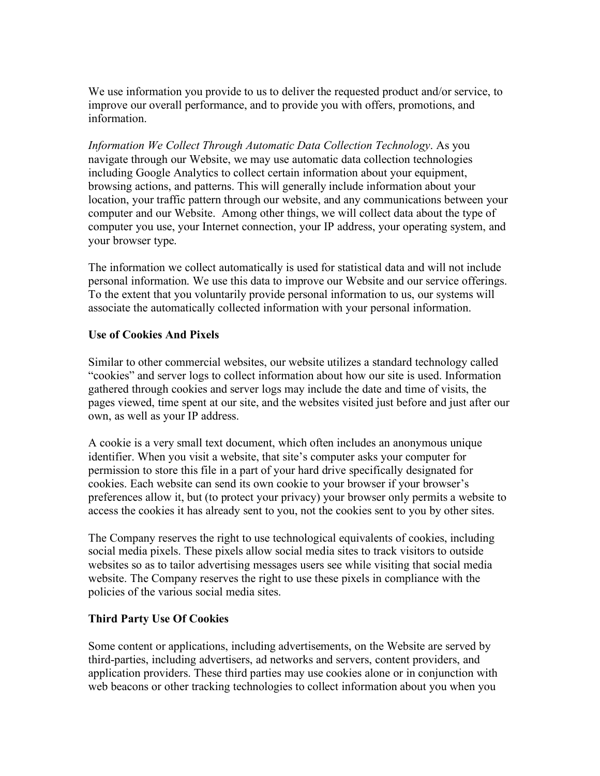We use information you provide to us to deliver the requested product and/or service, to improve our overall performance, and to provide you with offers, promotions, and information.

*Information We Collect Through Automatic Data Collection Technology*. As you navigate through our Website, we may use automatic data collection technologies including Google Analytics to collect certain information about your equipment, browsing actions, and patterns. This will generally include information about your location, your traffic pattern through our website, and any communications between your computer and our Website. Among other things, we will collect data about the type of computer you use, your Internet connection, your IP address, your operating system, and your browser type.

The information we collect automatically is used for statistical data and will not include personal information. We use this data to improve our Website and our service offerings. To the extent that you voluntarily provide personal information to us, our systems will associate the automatically collected information with your personal information.

#### **Use of Cookies And Pixels**

Similar to other commercial websites, our website utilizes a standard technology called "cookies" and server logs to collect information about how our site is used. Information gathered through cookies and server logs may include the date and time of visits, the pages viewed, time spent at our site, and the websites visited just before and just after our own, as well as your IP address.

A cookie is a very small text document, which often includes an anonymous unique identifier. When you visit a website, that site's computer asks your computer for permission to store this file in a part of your hard drive specifically designated for cookies. Each website can send its own cookie to your browser if your browser's preferences allow it, but (to protect your privacy) your browser only permits a website to access the cookies it has already sent to you, not the cookies sent to you by other sites.

The Company reserves the right to use technological equivalents of cookies, including social media pixels. These pixels allow social media sites to track visitors to outside websites so as to tailor advertising messages users see while visiting that social media website. The Company reserves the right to use these pixels in compliance with the policies of the various social media sites.

#### **Third Party Use Of Cookies**

Some content or applications, including advertisements, on the Website are served by third-parties, including advertisers, ad networks and servers, content providers, and application providers. These third parties may use cookies alone or in conjunction with web beacons or other tracking technologies to collect information about you when you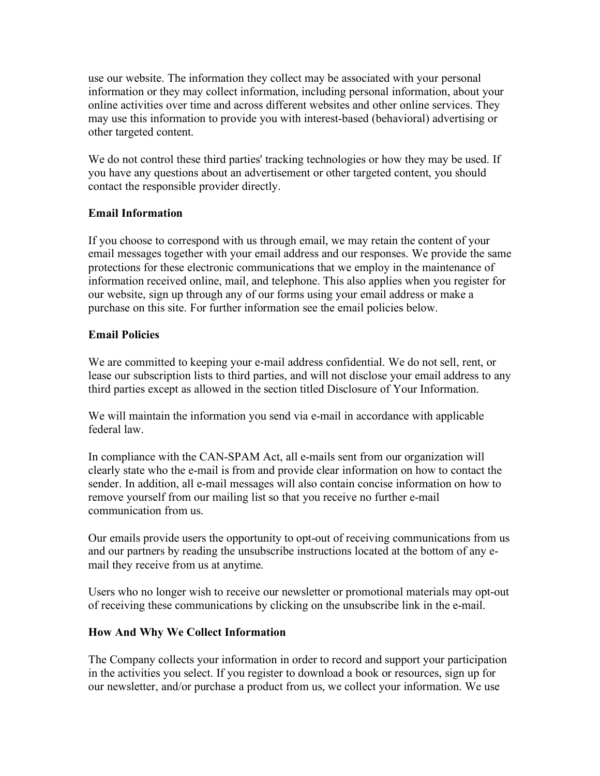use our website. The information they collect may be associated with your personal information or they may collect information, including personal information, about your online activities over time and across different websites and other online services. They may use this information to provide you with interest-based (behavioral) advertising or other targeted content.

We do not control these third parties' tracking technologies or how they may be used. If you have any questions about an advertisement or other targeted content, you should contact the responsible provider directly.

# **Email Information**

If you choose to correspond with us through email, we may retain the content of your email messages together with your email address and our responses. We provide the same protections for these electronic communications that we employ in the maintenance of information received online, mail, and telephone. This also applies when you register for our website, sign up through any of our forms using your email address or make a purchase on this site. For further information see the email policies below.

# **Email Policies**

We are committed to keeping your e-mail address confidential. We do not sell, rent, or lease our subscription lists to third parties, and will not disclose your email address to any third parties except as allowed in the section titled Disclosure of Your Information.

We will maintain the information you send via e-mail in accordance with applicable federal law.

In compliance with the CAN-SPAM Act, all e-mails sent from our organization will clearly state who the e-mail is from and provide clear information on how to contact the sender. In addition, all e-mail messages will also contain concise information on how to remove yourself from our mailing list so that you receive no further e-mail communication from us.

Our emails provide users the opportunity to opt-out of receiving communications from us and our partners by reading the unsubscribe instructions located at the bottom of any email they receive from us at anytime.

Users who no longer wish to receive our newsletter or promotional materials may opt-out of receiving these communications by clicking on the unsubscribe link in the e-mail.

## **How And Why We Collect Information**

The Company collects your information in order to record and support your participation in the activities you select. If you register to download a book or resources, sign up for our newsletter, and/or purchase a product from us, we collect your information. We use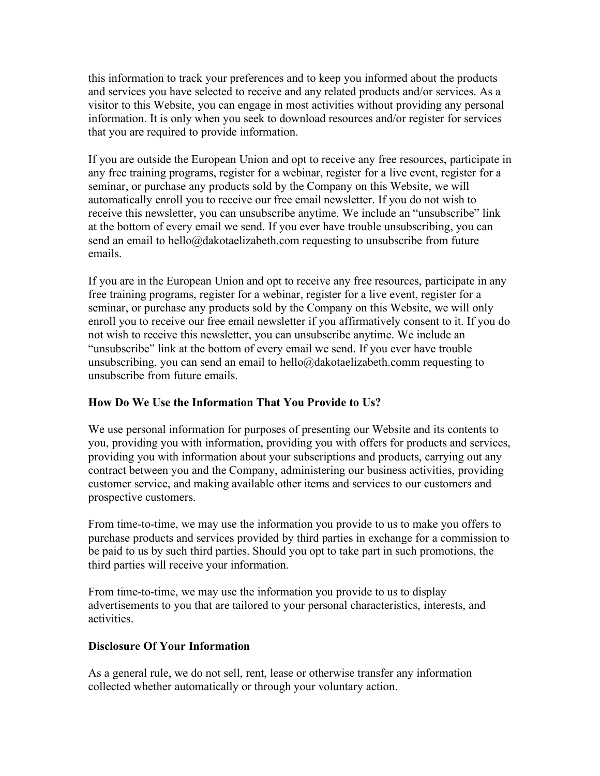this information to track your preferences and to keep you informed about the products and services you have selected to receive and any related products and/or services. As a visitor to this Website, you can engage in most activities without providing any personal information. It is only when you seek to download resources and/or register for services that you are required to provide information.

If you are outside the European Union and opt to receive any free resources, participate in any free training programs, register for a webinar, register for a live event, register for a seminar, or purchase any products sold by the Company on this Website, we will automatically enroll you to receive our free email newsletter. If you do not wish to receive this newsletter, you can unsubscribe anytime. We include an "unsubscribe" link at the bottom of every email we send. If you ever have trouble unsubscribing, you can send an email to hello@dakotaelizabeth.com requesting to unsubscribe from future emails.

If you are in the European Union and opt to receive any free resources, participate in any free training programs, register for a webinar, register for a live event, register for a seminar, or purchase any products sold by the Company on this Website, we will only enroll you to receive our free email newsletter if you affirmatively consent to it. If you do not wish to receive this newsletter, you can unsubscribe anytime. We include an "unsubscribe" link at the bottom of every email we send. If you ever have trouble unsubscribing, you can send an email to hello@dakotaelizabeth.comm requesting to unsubscribe from future emails.

## **How Do We Use the Information That You Provide to Us?**

We use personal information for purposes of presenting our Website and its contents to you, providing you with information, providing you with offers for products and services, providing you with information about your subscriptions and products, carrying out any contract between you and the Company, administering our business activities, providing customer service, and making available other items and services to our customers and prospective customers.

From time-to-time, we may use the information you provide to us to make you offers to purchase products and services provided by third parties in exchange for a commission to be paid to us by such third parties. Should you opt to take part in such promotions, the third parties will receive your information.

From time-to-time, we may use the information you provide to us to display advertisements to you that are tailored to your personal characteristics, interests, and activities.

## **Disclosure Of Your Information**

As a general rule, we do not sell, rent, lease or otherwise transfer any information collected whether automatically or through your voluntary action.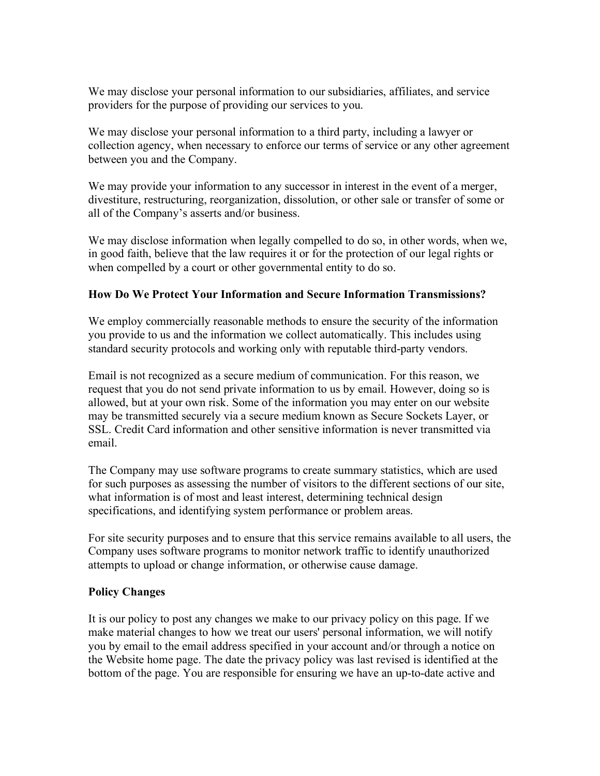We may disclose your personal information to our subsidiaries, affiliates, and service providers for the purpose of providing our services to you.

We may disclose your personal information to a third party, including a lawyer or collection agency, when necessary to enforce our terms of service or any other agreement between you and the Company.

We may provide your information to any successor in interest in the event of a merger, divestiture, restructuring, reorganization, dissolution, or other sale or transfer of some or all of the Company's asserts and/or business.

We may disclose information when legally compelled to do so, in other words, when we, in good faith, believe that the law requires it or for the protection of our legal rights or when compelled by a court or other governmental entity to do so.

#### **How Do We Protect Your Information and Secure Information Transmissions?**

We employ commercially reasonable methods to ensure the security of the information you provide to us and the information we collect automatically. This includes using standard security protocols and working only with reputable third-party vendors.

Email is not recognized as a secure medium of communication. For this reason, we request that you do not send private information to us by email. However, doing so is allowed, but at your own risk. Some of the information you may enter on our website may be transmitted securely via a secure medium known as Secure Sockets Layer, or SSL. Credit Card information and other sensitive information is never transmitted via email.

The Company may use software programs to create summary statistics, which are used for such purposes as assessing the number of visitors to the different sections of our site, what information is of most and least interest, determining technical design specifications, and identifying system performance or problem areas.

For site security purposes and to ensure that this service remains available to all users, the Company uses software programs to monitor network traffic to identify unauthorized attempts to upload or change information, or otherwise cause damage.

## **Policy Changes**

It is our policy to post any changes we make to our privacy policy on this page. If we make material changes to how we treat our users' personal information, we will notify you by email to the email address specified in your account and/or through a notice on the Website home page. The date the privacy policy was last revised is identified at the bottom of the page. You are responsible for ensuring we have an up-to-date active and